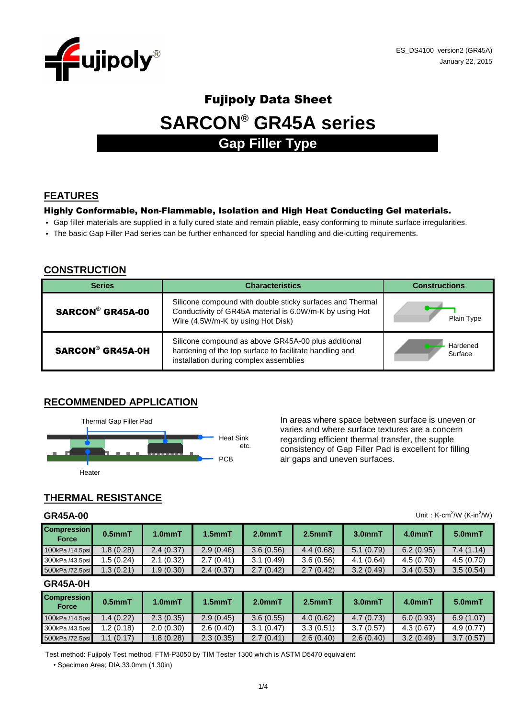

# **SARCON® GR45A series** Fujipoly Data Sheet **Gap Filler Type**

# **FEATURES**

#### Highly Conformable, Non-Flammable, Isolation and High Heat Conducting Gel materials.

- Gap filler materials are supplied in a fully cured state and remain pliable, easy conforming to minute surface irregularities.
- The basic Gap Filler Pad series can be further enhanced for special handling and die-cutting requirements.

#### **CONSTRUCTION**

| <b>Series</b>           | <b>Characteristics</b>                                                                                                                                    | <b>Constructions</b> |  |  |
|-------------------------|-----------------------------------------------------------------------------------------------------------------------------------------------------------|----------------------|--|--|
| SARCON® GR45A-00        | Silicone compound with double sticky surfaces and Thermal<br>Conductivity of GR45A material is 6.0W/m-K by using Hot<br>Wire (4.5W/m-K by using Hot Disk) | Plain Type           |  |  |
| <b>SARCON® GR45A-0H</b> | Silicone compound as above GR45A-00 plus additional<br>hardening of the top surface to facilitate handling and<br>installation during complex assemblies  | Hardened<br>Surface  |  |  |

#### **RECOMMENDED APPLICATION**



varies and where surface textures are a concern regarding efficient thermal transfer, the supple consistency of Gap Filler Pad is excellent for filling PCB air gaps and uneven surfaces.

Unit: K-cm<sup>2</sup>/W (K-in<sup>2</sup>/W)

# **THERMAL RESISTANCE**

#### **GR45A-00**

| <b>Compression</b><br><b>Force</b> | $0.5mm$ T | 1.0 <sub>mm</sub> T | $1.5mm$ T | 2.0 <sub>mm</sub> | $2.5mm$ T | $3.0mm$ T | 4.0mmT    | 5.0mmT    |
|------------------------------------|-----------|---------------------|-----------|-------------------|-----------|-----------|-----------|-----------|
| 100kPa /14.5psi                    | 1.8(0.28) | 2.4(0.37)           | 2.9(0.46) | 3.6(0.56)         | 4.4(0.68) | 5.1(0.79) | 6.2(0.95) | 7.4(1.14) |
| 300kPa /43.5psi                    | .5(0.24)  | 2.1(0.32)           | 2.7(0.41) | 3.1(0.49)         | 3.6(0.56) | 4.1(0.64) | 4.5(0.70) | 4.5(0.70) |
| 500kPa /72.5psi                    | 1.3(0.21) | .9(0.30)            | 2.4(0.37) | 2.7(0.42)         | 2.7(0.42) | 3.2(0.49) | 3.4(0.53) | 3.5(0.54) |

#### **GR45A-0H**

| <b>Compression</b><br><b>Force</b> | $0.5mm$ T | 1.0mmT    | $1.5mm$ T | $2.0mm$ T | $2.5mm$ T | 3.0 <sub>mm</sub> | 4.0mmT    | $5.0mm$ T |
|------------------------------------|-----------|-----------|-----------|-----------|-----------|-------------------|-----------|-----------|
| 100kPa /14.5psi                    | 1.4(0.22) | 2.3(0.35) | 2.9(0.45) | 3.6(0.55) | 4.0(0.62) | 4.7(0.73)         | 6.0(0.93) | 6.9(1.07) |
| 300kPa /43.5psi                    | 1.2(0.18) | 2.0(0.30) | 2.6(0.40) | 3.1(0.47) | 3.3(0.51) | 3.7(0.57)         | 4.3(0.67) | 4.9(0.77) |
| 500kPa /72.5psi                    | 1.1(0.17) | 1.8(0.28) | 2.3(0.35) | 2.7(0.41) | 2.6(0.40) | 2.6(0.40)         | 3.2(0.49) | 3.7(0.57) |

Test method: Fujipoly Test method, FTM-P3050 by TIM Tester 1300 which is ASTM D5470 equivalent

• Specimen Area; DIA.33.0mm (1.30in)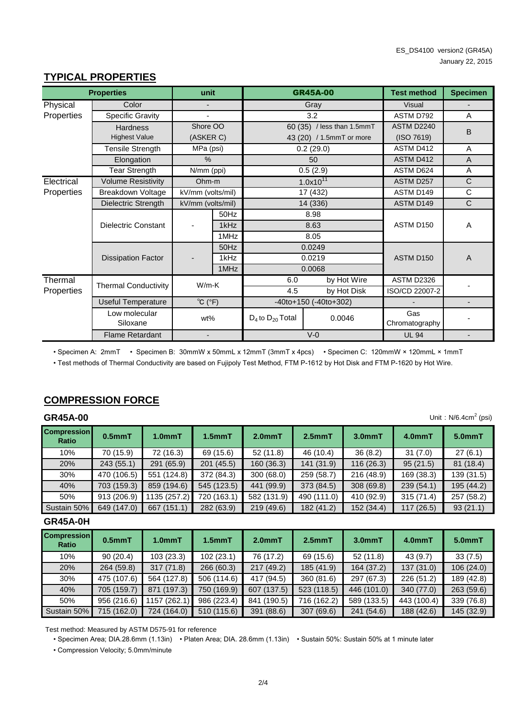#### **TYPICAL PROPERTIES**

|            | <b>Properties</b>                                        | unit                     |                                     |                         | <b>GR45A-00</b>            | <b>Test method</b>    | <b>Specimen</b> |
|------------|----------------------------------------------------------|--------------------------|-------------------------------------|-------------------------|----------------------------|-----------------------|-----------------|
| Physical   | Color                                                    |                          |                                     |                         | Gray                       | <b>Visual</b>         |                 |
| Properties | Specific Gravity                                         |                          |                                     |                         | 3.2                        | ASTM D792             | A               |
|            | <b>Hardness</b>                                          | Shore OO                 |                                     |                         | 60 (35) / less than 1.5mmT | ASTM D2240            | B               |
|            | <b>Highest Value</b>                                     | (ASKER C)                |                                     |                         | 43 (20) / 1.5mmT or more   | (ISO 7619)            |                 |
|            | Tensile Strength                                         | MPa (psi)                |                                     |                         | 0.2(29.0)                  | ASTM D412             | A               |
|            | Elongation                                               | $\%$                     |                                     |                         | 50                         | ASTM D412             | A               |
|            | Tear Strength                                            | N/mm (ppi)               |                                     |                         | 0.5(2.9)                   | ASTM D624             | A               |
| Electrical | <b>Volume Resistivity</b>                                | Ohm-m                    |                                     |                         | $1.0x10^{11}$              | ASTM D257             | $\mathsf{C}$    |
| Properties | Breakdown Voltage                                        | kV/mm (volts/mil)        |                                     |                         | 17 (432)                   | ASTM D149             | $\mathsf C$     |
|            | Dielectric Strength                                      | kV/mm (volts/mil)        |                                     |                         | 14 (336)                   | <b>ASTM D149</b>      | $\mathsf{C}$    |
|            |                                                          | 50Hz<br>1kHz             |                                     |                         | 8.98                       | ASTM D150             |                 |
|            | Dielectric Constant                                      |                          |                                     |                         | 8.63                       |                       | A               |
|            |                                                          |                          | 1MHz                                |                         | 8.05                       |                       |                 |
|            |                                                          |                          | 50Hz                                |                         | 0.0249                     |                       |                 |
|            | <b>Dissipation Factor</b>                                |                          | 1kHz                                | 0.0219                  |                            | ASTM D150             | $\overline{A}$  |
|            |                                                          |                          | 1MHz                                |                         | 0.0068                     |                       |                 |
| Thermal    | <b>Thermal Conductivity</b>                              | $W/m-K$                  |                                     | 6.0                     | by Hot Wire                | ASTM D2326            |                 |
| Properties |                                                          |                          |                                     | 4.5                     | by Hot Disk                | ISO/CD 22007-2        |                 |
|            | $^{\circ}C$ ( $^{\circ}F$ )<br><b>Useful Temperature</b> |                          | $-40$ to $+150$ ( $-40$ to $+302$ ) |                         |                            |                       |                 |
|            | Low molecular<br>Siloxane                                | wt%                      |                                     | $D_4$ to $D_{20}$ Total | 0.0046                     | Gas<br>Chromatography |                 |
|            | <b>Flame Retardant</b>                                   | $\overline{\phantom{0}}$ |                                     |                         | $V-0$                      | <b>UL 94</b>          |                 |

• Specimen A: 2mmT • Specimen B: 30mmW x 50mmL x 12mmT (3mmT x 4pcs) • Specimen C: 120mmW × 120mmL × 1mmT

• Test methods of Thermal Conductivity are based on Fujipoly Test Method, FTM P-1612 by Hot Disk and FTM P-1620 by Hot Wire.

#### **COMPRESSION FORCE**

#### **GR45A-00**

| <b>GR45A-00</b>             | Unit: $N/6.4cm2$ (psi) |                     |                     |             |             |            |            |            |  |  |
|-----------------------------|------------------------|---------------------|---------------------|-------------|-------------|------------|------------|------------|--|--|
| <b>Compression</b><br>Ratio | $0.5mm$ T              | 1.0 <sub>mm</sub> T | 1.5 <sub>mm</sub> T | $2.0mm$ T   | $2.5mm$ T   | $3.0mm$ T  | $4.0mm$ T  | $5.0mm$ T  |  |  |
| 10%                         | 70 (15.9)              | 72 (16.3)           | 69 (15.6)           | 52(11.8)    | 46 (10.4)   | 36(8.2)    | 31(7.0)    | 27(6.1)    |  |  |
| 20%                         | 243(55.1)              | 291 (65.9)          | 201(45.5)           | 160(36.3)   | 141(31.9)   | 116(26.3)  | 95(21.5)   | 81 (18.4)  |  |  |
| 30%                         | 470 (106.5)            | 551 (124.8)         | 372 (84.3)          | 300 (68.0)  | 259 (58.7)  | 216 (48.9) | 169 (38.3) | 139 (31.5) |  |  |
| 40%                         | 703 (159.3)            | 859 (194.6)         | 545 (123.5)         | 441 (99.9)  | 373 (84.5)  | 308(69.8)  | 239 (54.1) | 195 (44.2) |  |  |
| 50%                         | 913 (206.9)            | 1135 (257.2)        | 720 (163.1)         | 582 (131.9) | 490 (111.0) | 410 (92.9) | 315(71.4)  | 257 (58.2) |  |  |
| Sustain 50%                 | 649 (147.0)            | (151.1)<br>667      | 282 (63.9)          | 219(49.6)   | 182 (41.2)  | 152 (34.4) | 117(26.5)  | 93(21.1)   |  |  |

#### **GR45A-0H**

| <b>Compression</b><br><b>Ratio</b> | $0.5$ mm $T$ | 1.0 <sub>mm</sub> T | $1.5$ mm $T$ | 2.0 <sub>mm</sub> T | $2.5mm$ T   | $3.0mm$ T   | $4.0mm$ T   | $5.0mm$ T  |
|------------------------------------|--------------|---------------------|--------------|---------------------|-------------|-------------|-------------|------------|
| 10%                                | 90(20.4)     | 103(23.3)           | 102(23.1)    | 76 (17.2)           | 69 (15.6)   | 52(11.8)    | 43(9.7)     | 33(7.5)    |
| 20%                                | 264 (59.8)   | 317(71.8)           | 266 (60.3)   | 217(49.2)           | 185 (41.9)  | 164 (37.2)  | 137(31.0)   | 106(24.0)  |
| 30%                                | 475 (107.6)  | 564 (127.8)         | 506 (114.6)  | 417 (94.5)          | 360 (81.6)  | 297 (67.3)  | 226 (51.2)  | 189 (42.8) |
| 40%                                | 705 (159.7)  | 871 (197.3)         | 750 (169.9)  | 607 (137.5)         | 523 (118.5) | 446 (101.0) | 340 (77.0)  | 263(59.6)  |
| 50%                                | 956 (216.6)  | 1157 (262.1)        | 986 (223.4)  | (190.5)<br>841      | 716 (162.2) | 589 (133.5) | 443 (100.4) | 339 (76.8) |
| Sustain 50%                        | 715 (162.0)  | 724 (164.0)         | 510 (115.6)  | 391 (88.6)          | 307(69.6)   | 241 (54.6)  | 188 (42.6)  | 145 (32.9) |

Test method: Measured by ASTM D575-91 for reference

• Specimen Area; DIA.28.6mm (1.13in) • Platen Area; DIA. 28.6mm (1.13in) • Sustain 50%: Sustain 50% at 1 minute later

• Compression Velocity; 5.0mm/minute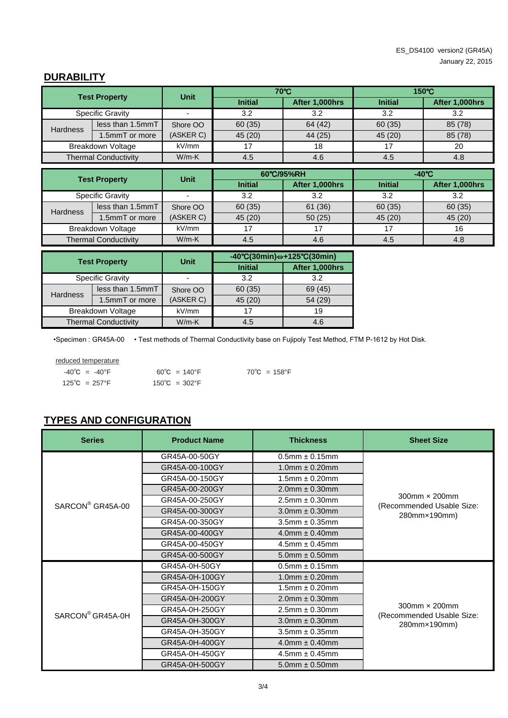# **DURABILITY**

| <b>Test Property</b> |                             | <b>Unit</b>              |                | 70°C           | $150^{\circ}$ C |                 |  |
|----------------------|-----------------------------|--------------------------|----------------|----------------|-----------------|-----------------|--|
|                      |                             |                          | <b>Initial</b> | After 1,000hrs | <b>Initial</b>  | After 1,000hrs  |  |
|                      | <b>Specific Gravity</b>     | $\overline{\phantom{a}}$ | 3.2            | 3.2            | 3.2             | 3.2             |  |
| <b>Hardness</b>      | less than 1.5mmT            | Shore OO                 | 60 (35)        | 64 (42)        | 60 (35)         | 85 (78)         |  |
|                      | 1.5mmT or more              | (ASKER C)                | 45 (20)        | 44 (25)        | 45 (20)         | 85 (78)         |  |
|                      | Breakdown Voltage           | kV/mm                    | 17             | 18             | 17              | 20              |  |
|                      | <b>Thermal Conductivity</b> | $W/m-K$                  | 4.5            | 4.6            | 4.5             | 4.8             |  |
|                      |                             |                          |                |                |                 |                 |  |
| <b>Test Property</b> |                             | <b>Unit</b>              |                | 60°C/95%RH     |                 | $-40^{\circ}$ C |  |
|                      |                             |                          | <b>Initial</b> | After 1,000hrs | <b>Initial</b>  | After 1,000hrs  |  |
|                      | .                           |                          | $\sim$ $\sim$  | $\sim$ $\sim$  | $\sim$ $\sim$   | $\sim$ $\sim$   |  |

|                             |                  |           | mutar  | <b>AITEL LUUUILS</b> | mnuar   | <b>AILER I.UUUNIS</b> |
|-----------------------------|------------------|-----------|--------|----------------------|---------|-----------------------|
| Specific Gravity            |                  |           | 3.2    | 3.2                  | 3.2     | 3.2                   |
| <b>Hardness</b>             | less than 1.5mmT | Shore OO  | 60(35) | 61 (36)              | 60 (35) | 60(35)                |
|                             | 1.5mmT or more   | (ASKER C) | 45(20) | 50(25)               | 45(20)  | 45(20)                |
| Breakdown Voltage           |                  | kV/mm     |        |                      |         |                       |
| <b>Thermal Conductivity</b> |                  | $W/m-K$   | 4.5    | 4.6                  | 4.5     | 4.8                   |

| <b>Test Property</b>    |                             | <b>Unit</b> | $-40^{\circ}C(30\text{min}) \Leftrightarrow +125^{\circ}C(30\text{min})$ |                |  |
|-------------------------|-----------------------------|-------------|--------------------------------------------------------------------------|----------------|--|
|                         |                             |             | <b>Initial</b>                                                           | After 1,000hrs |  |
| <b>Specific Gravity</b> |                             |             | 3.2                                                                      | 3.2            |  |
| <b>Hardness</b>         | less than 1.5mmT            | Shore OO    | 60 (35)                                                                  | 69 (45)        |  |
|                         | 1.5mmT or more              | (ASKER C)   | 45 (20)                                                                  | 54 (29)        |  |
| Breakdown Voltage       |                             | kV/mm       |                                                                          | 19             |  |
|                         | <b>Thermal Conductivity</b> | $W/m-K$     | 4.5                                                                      | 4.6            |  |

•Specimen : GR45A-00 • Test methods of Thermal Conductivity base on Fujipoly Test Method, FTM P-1612 by Hot Disk.

reduced temperature

 $-40^{\circ}$ C =  $-40^{\circ}$ F 60°C = 140°F 70°C = 158°F  $125^{\circ}$ C = 257°F 150 $^{\circ}$ C = 302 $^{\circ}$ F

# **TYPES AND CONFIGURATION**

| <b>Series</b>                | <b>Product Name</b> | <b>Thickness</b>       | <b>Sheet Size</b>                                    |  |  |
|------------------------------|---------------------|------------------------|------------------------------------------------------|--|--|
|                              | GR45A-00-50GY       | $0.5$ mm $\pm 0.15$ mm |                                                      |  |  |
|                              | GR45A-00-100GY      | $1.0$ mm $\pm 0.20$ mm |                                                      |  |  |
|                              | GR45A-00-150GY      | $1.5$ mm $\pm 0.20$ mm |                                                      |  |  |
|                              | GR45A-00-200GY      | $2.0$ mm $\pm 0.30$ mm |                                                      |  |  |
| SARCON <sup>®</sup> GR45A-00 | GR45A-00-250GY      | $2.5$ mm $\pm 0.30$ mm | $300$ mm $\times$ 200mm<br>(Recommended Usable Size: |  |  |
|                              | GR45A-00-300GY      | $3.0$ mm $\pm 0.30$ mm | 280mm×190mm)                                         |  |  |
|                              | GR45A-00-350GY      | $3.5$ mm $\pm 0.35$ mm |                                                      |  |  |
|                              | GR45A-00-400GY      | $4.0$ mm $\pm 0.40$ mm |                                                      |  |  |
|                              | GR45A-00-450GY      | $4.5$ mm $\pm 0.45$ mm |                                                      |  |  |
|                              | GR45A-00-500GY      | $5.0$ mm $\pm 0.50$ mm |                                                      |  |  |
|                              | GR45A-0H-50GY       | $0.5$ mm $\pm 0.15$ mm |                                                      |  |  |
|                              | GR45A-0H-100GY      | $1.0$ mm $\pm 0.20$ mm |                                                      |  |  |
|                              | GR45A-0H-150GY      | $1.5$ mm $\pm 0.20$ mm |                                                      |  |  |
|                              | GR45A-0H-200GY      | $2.0$ mm $\pm 0.30$ mm |                                                      |  |  |
| SARCON <sup>®</sup> GR45A-0H | GR45A-0H-250GY      | $2.5$ mm $\pm 0.30$ mm | $300$ mm $\times$ 200mm<br>(Recommended Usable Size: |  |  |
|                              | GR45A-0H-300GY      | $3.0$ mm $\pm$ 0.30mm  | 280mm×190mm)                                         |  |  |
|                              | GR45A-0H-350GY      | $3.5$ mm $\pm 0.35$ mm |                                                      |  |  |
|                              | GR45A-0H-400GY      | $4.0$ mm $\pm 0.40$ mm |                                                      |  |  |
|                              | GR45A-0H-450GY      | $4.5$ mm $\pm 0.45$ mm |                                                      |  |  |
|                              | GR45A-0H-500GY      | $5.0$ mm $\pm 0.50$ mm |                                                      |  |  |